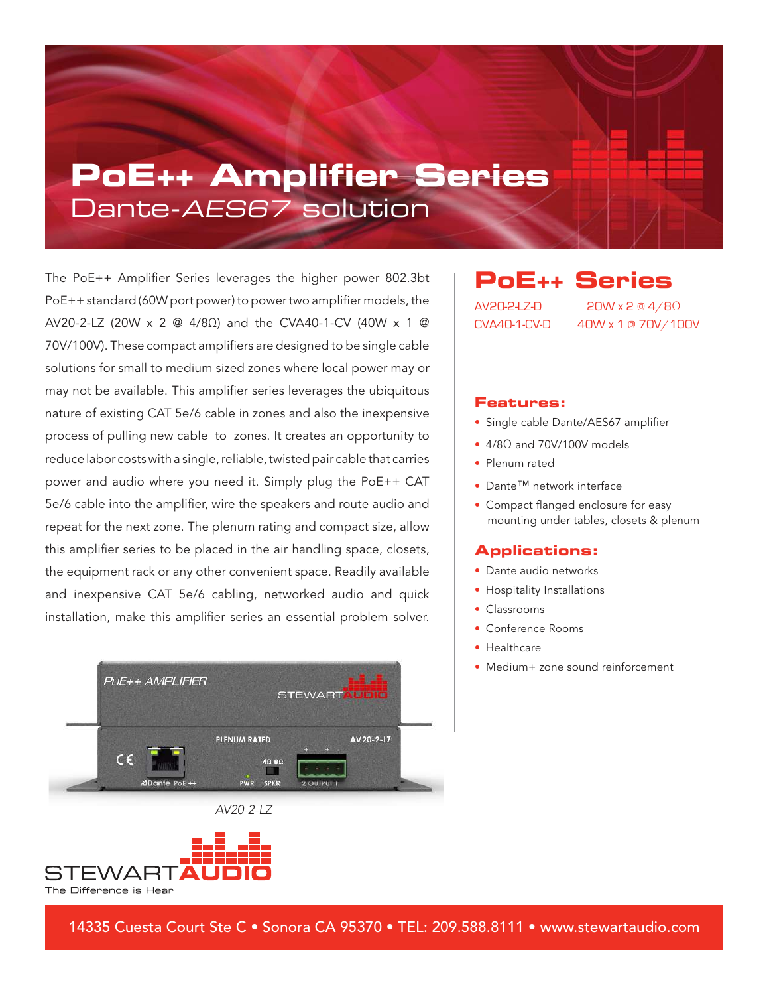## **PoE++ Amplifier Series** Dante-AES67 solution

The PoE++ Amplifier Series leverages the higher power 802.3bt PoE++ standard (60W port power) to power two amplifier models, the AV20-2-LZ (20W x 2 @ 4/8Ω) and the CVA40-1-CV (40W x 1 @ 70V/100V). These compact amplifiers are designed to be single cable solutions for small to medium sized zones where local power may or may not be available. This amplifier series leverages the ubiquitous nature of existing CAT 5e/6 cable in zones and also the inexpensive process of pulling new cable to zones. It creates an opportunity to reduce labor costs with a single, reliable, twisted pair cable that carries power and audio where you need it. Simply plug the PoE++ CAT 5e/6 cable into the amplifier, wire the speakers and route audio and repeat for the next zone. The plenum rating and compact size, allow this amplifier series to be placed in the air handling space, closets, the equipment rack or any other convenient space. Readily available and inexpensive CAT 5e/6 cabling, networked audio and quick installation, make this amplifier series an essential problem solver.







**PoE++ Series**  AV20-2-LZ-D 20W x 2 @ 4/8Ω CVA40-1-CV-D 40W x 1 @ 70V/100V

### **Features:**

- Single cable Dante/AES67 amplifier
- 4/8Ω and 70V/100V models
- Plenum rated
- Dante™ network interface
- Compact flanged enclosure for easy mounting under tables, closets & plenum

#### **Applications:**

- Dante audio networks
- Hospitality Installations
- Classrooms
- Conference Rooms
- Healthcare
- Medium+ zone sound reinforcement

14335 Cuesta Court Ste C • Sonora CA 95370 • TEL: 209.588.8111 • www.stewartaudio.com